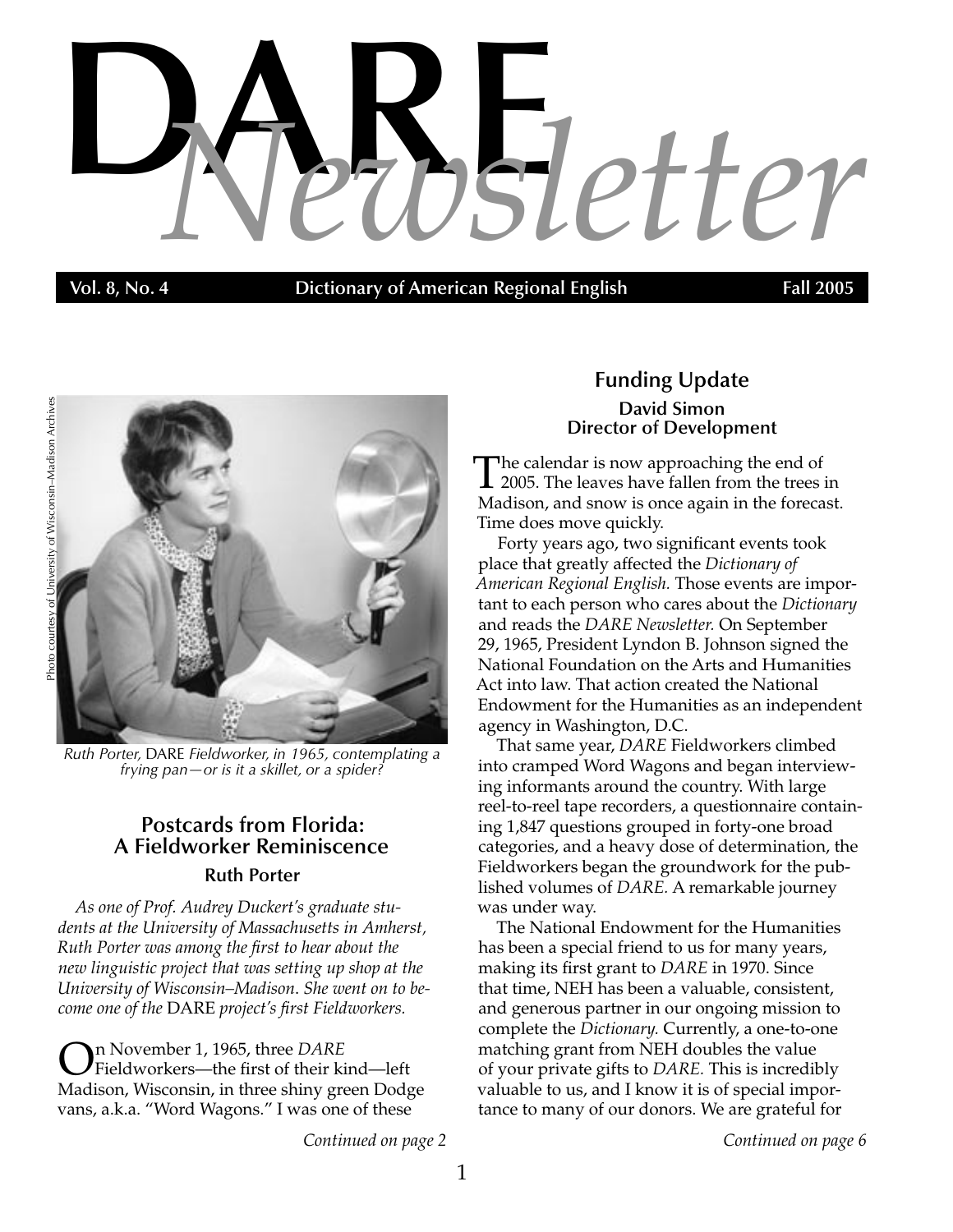# **DAR** *Newsletter* **E**

**Vol. 8, No. 4 Dictionary of American Regional English** Fall 2005



*Ruth Porter,* DARE *Fieldworker, in 1965, contemplating a frying pan—or is it a skillet, or a spider?*

# **Postcards from Florida: A Fieldworker Reminiscence Ruth Porter**

*As one of Prof. Audrey Duckert's graduate students at the University of Massachusetts in Amherst, Ruth Porter was among the first to hear about the new linguistic project that was setting up shop at the University of Wisconsin–Madison*. *She went on to become one of the* DARE *project's first Fieldworkers.*

On November 1, 1965, three *DARE*<br>Fieldworkers—the first of their kind—left Madison, Wisconsin, in three shiny green Dodge vans, a.k.a. "Word Wagons." I was one of these

# **Funding Update David Simon Director of Development**

The calendar is now approaching the end of<br>2005. The leaves have fallen from the trees in Madison, and snow is once again in the forecast. Time does move quickly.

Forty years ago, two significant events took place that greatly affected the *Dictionary of American Regional English.* Those events are important to each person who cares about the *Dictionary* and reads the *DARE Newsletter.* On September 29, 1965, President Lyndon B. Johnson signed the National Foundation on the Arts and Humanities Act into law. That action created the National Endowment for the Humanities as an independent agency in Washington, D.C.

That same year, *DARE* Fieldworkers climbed into cramped Word Wagons and began interviewing informants around the country. With large reel-to-reel tape recorders, a questionnaire containing 1,847 questions grouped in forty-one broad categories, and a heavy dose of determination, the Fieldworkers began the groundwork for the published volumes of *DARE.* A remarkable journey was under way.

The National Endowment for the Humanities has been a special friend to us for many years, making its first grant to *DARE* in 1970. Since that time, NEH has been a valuable, consistent, and generous partner in our ongoing mission to complete the *Dictionary.* Currently, a one-to-one matching grant from NEH doubles the value of your private gifts to *DARE.* This is incredibly valuable to us, and I know it is of special importance to many of our donors. We are grateful for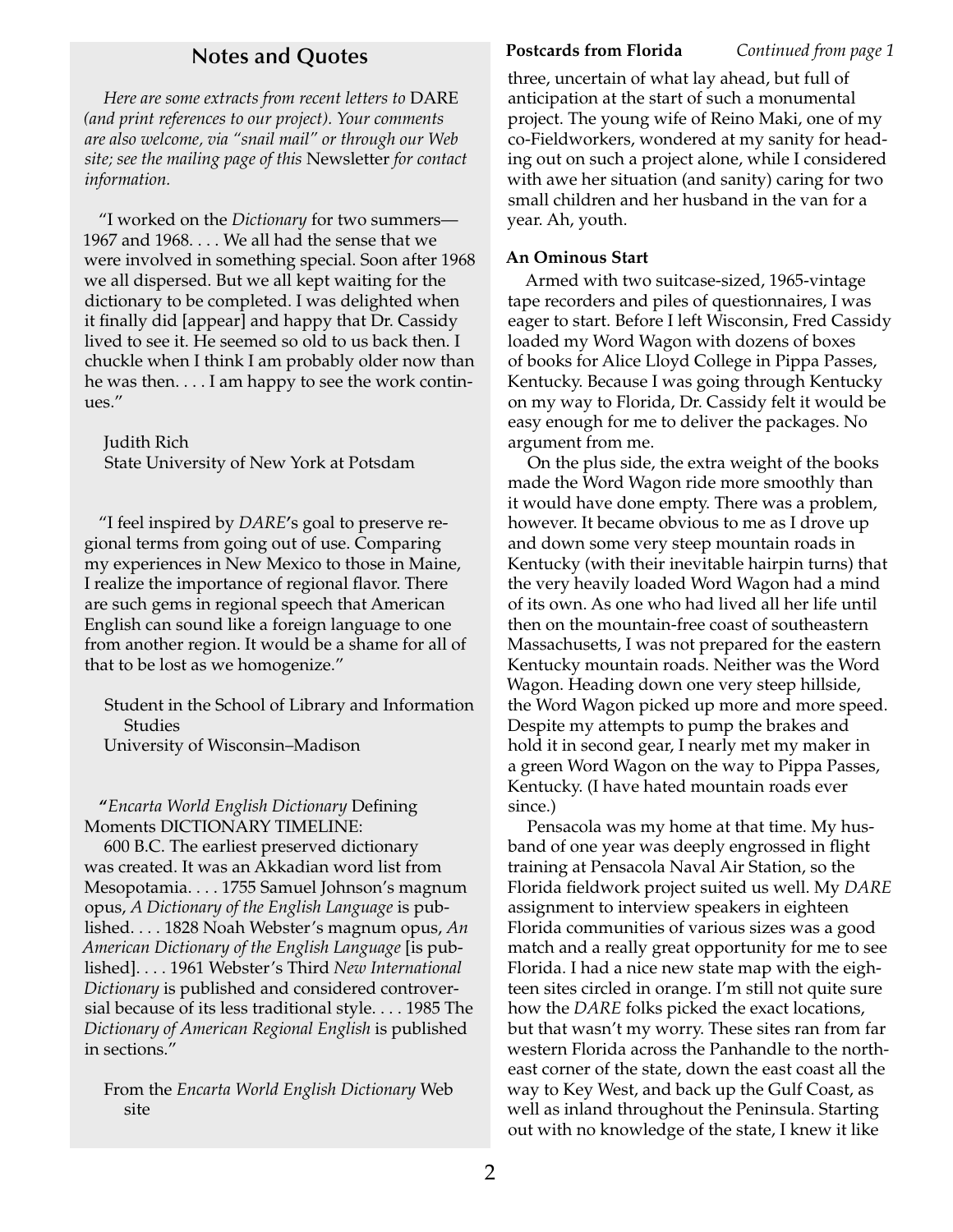# **Notes and Quotes Postcards from Florida** *Continued from page 1*

*Here are some extracts from recent letters to* DARE *(and print references to our project). Your comments are also welcome, via "snail mail" or through our Web site; see the mailing page of this* Newsletter *for contact information.*

"I worked on the *Dictionary* for two summers— 1967 and 1968. . . . We all had the sense that we were involved in something special. Soon after 1968 we all dispersed. But we all kept waiting for the dictionary to be completed. I was delighted when it finally did [appear] and happy that Dr. Cassidy lived to see it. He seemed so old to us back then. I chuckle when I think I am probably older now than he was then. . . . I am happy to see the work continues."

Judith Rich State University of New York at Potsdam

"I feel inspired by *DARE*'s goal to preserve regional terms from going out of use. Comparing my experiences in New Mexico to those in Maine, I realize the importance of regional flavor. There are such gems in regional speech that American English can sound like a foreign language to one from another region. It would be a shame for all of that to be lost as we homogenize."

Student in the School of Library and Information Studies

University of Wisconsin–Madison

"*Encarta World English Dictionary* Defining Moments DICTIONARY TIMELINE:

600 B.C. The earliest preserved dictionary was created. It was an Akkadian word list from Mesopotamia. . . . 1755 Samuel Johnson's magnum opus, *A Dictionary of the English Language* is published. . . . 1828 Noah Webster's magnum opus, *An American Dictionary of the English Language* [is published]. . . . 1961 Webster's Third *New International Dictionary* is published and considered controversial because of its less traditional style. . . . 1985 The *Dictionary of American Regional English* is published in sections."

From the *Encarta World English Dictionary* Web site

three, uncertain of what lay ahead, but full of anticipation at the start of such a monumental project. The young wife of Reino Maki, one of my co-Fieldworkers, wondered at my sanity for heading out on such a project alone, while I considered with awe her situation (and sanity) caring for two small children and her husband in the van for a year. Ah, youth.

#### **An Ominous Start**

Armed with two suitcase-sized, 1965-vintage tape recorders and piles of questionnaires, I was eager to start. Before I left Wisconsin, Fred Cassidy loaded my Word Wagon with dozens of boxes of books for Alice Lloyd College in Pippa Passes, Kentucky. Because I was going through Kentucky on my way to Florida, Dr. Cassidy felt it would be easy enough for me to deliver the packages. No argument from me.

On the plus side, the extra weight of the books made the Word Wagon ride more smoothly than it would have done empty. There was a problem, however. It became obvious to me as I drove up and down some very steep mountain roads in Kentucky (with their inevitable hairpin turns) that the very heavily loaded Word Wagon had a mind of its own. As one who had lived all her life until then on the mountain-free coast of southeastern Massachusetts, I was not prepared for the eastern Kentucky mountain roads. Neither was the Word Wagon. Heading down one very steep hillside, the Word Wagon picked up more and more speed. Despite my attempts to pump the brakes and hold it in second gear, I nearly met my maker in a green Word Wagon on the way to Pippa Passes, Kentucky. (I have hated mountain roads ever since.)

Pensacola was my home at that time. My husband of one year was deeply engrossed in flight training at Pensacola Naval Air Station, so the Florida fieldwork project suited us well. My *DARE* assignment to interview speakers in eighteen Florida communities of various sizes was a good match and a really great opportunity for me to see Florida. I had a nice new state map with the eighteen sites circled in orange. I'm still not quite sure how the *DARE* folks picked the exact locations, but that wasn't my worry. These sites ran from far western Florida across the Panhandle to the northeast corner of the state, down the east coast all the way to Key West, and back up the Gulf Coast, as well as inland throughout the Peninsula. Starting out with no knowledge of the state, I knew it like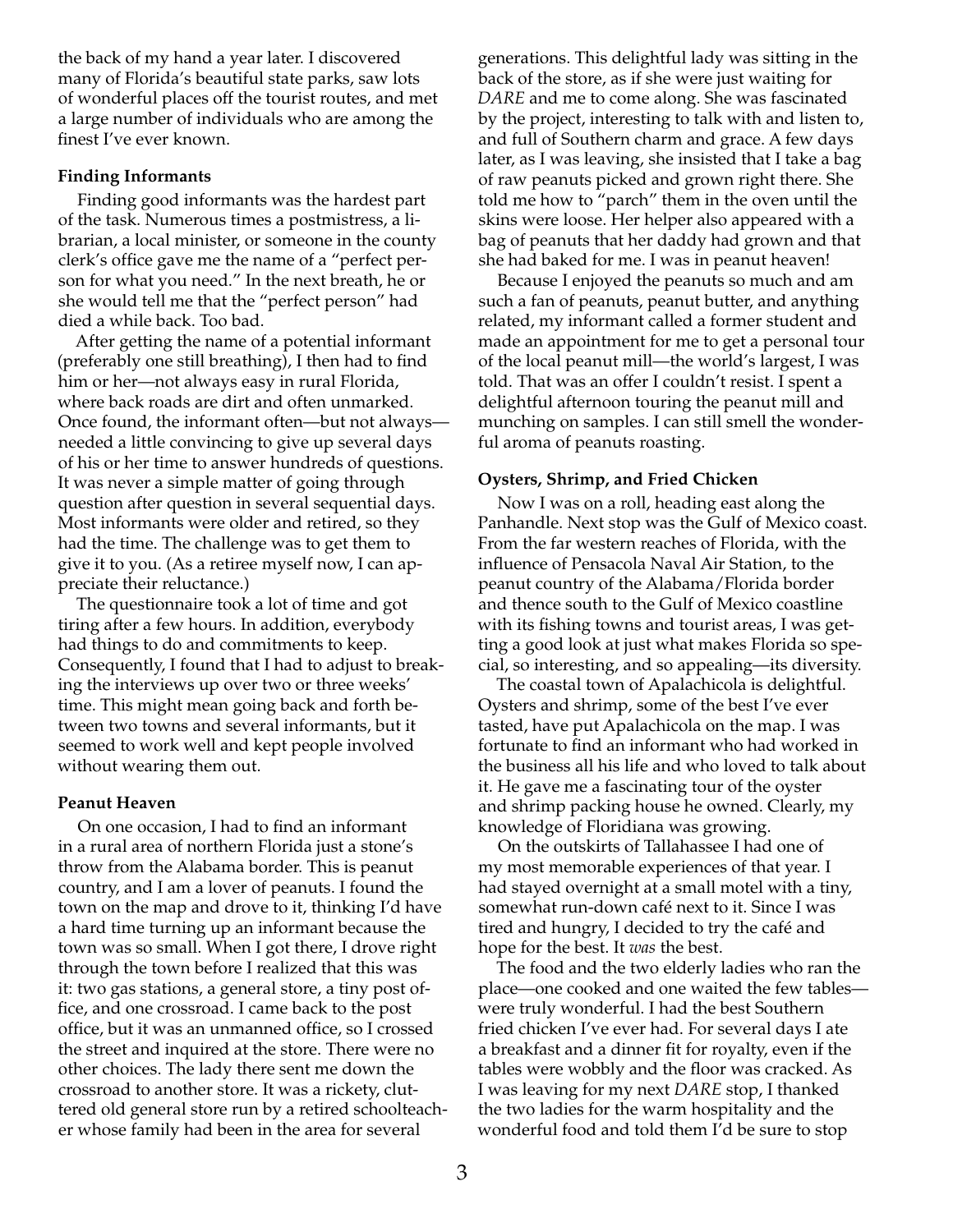the back of my hand a year later. I discovered many of Florida's beautiful state parks, saw lots of wonderful places off the tourist routes, and met a large number of individuals who are among the finest I've ever known.

#### **Finding Informants**

Finding good informants was the hardest part of the task. Numerous times a postmistress, a librarian, a local minister, or someone in the county clerk's office gave me the name of a "perfect person for what you need." In the next breath, he or she would tell me that the "perfect person" had died a while back. Too bad.

After getting the name of a potential informant (preferably one still breathing), I then had to find him or her—not always easy in rural Florida, where back roads are dirt and often unmarked. Once found, the informant often—but not always needed a little convincing to give up several days of his or her time to answer hundreds of questions. It was never a simple matter of going through question after question in several sequential days. Most informants were older and retired, so they had the time. The challenge was to get them to give it to you. (As a retiree myself now, I can appreciate their reluctance.)

The questionnaire took a lot of time and got tiring after a few hours. In addition, everybody had things to do and commitments to keep. Consequently, I found that I had to adjust to breaking the interviews up over two or three weeks' time. This might mean going back and forth between two towns and several informants, but it seemed to work well and kept people involved without wearing them out.

#### **Peanut Heaven**

On one occasion, I had to find an informant in a rural area of northern Florida just a stone's throw from the Alabama border. This is peanut country, and I am a lover of peanuts. I found the town on the map and drove to it, thinking I'd have a hard time turning up an informant because the town was so small. When I got there, I drove right through the town before I realized that this was it: two gas stations, a general store, a tiny post office, and one crossroad. I came back to the post office, but it was an unmanned office, so I crossed the street and inquired at the store. There were no other choices. The lady there sent me down the crossroad to another store. It was a rickety, cluttered old general store run by a retired schoolteacher whose family had been in the area for several

generations. This delightful lady was sitting in the back of the store, as if she were just waiting for *DARE* and me to come along. She was fascinated by the project, interesting to talk with and listen to, and full of Southern charm and grace. A few days later, as I was leaving, she insisted that I take a bag of raw peanuts picked and grown right there. She told me how to "parch" them in the oven until the skins were loose. Her helper also appeared with a bag of peanuts that her daddy had grown and that she had baked for me. I was in peanut heaven!

Because I enjoyed the peanuts so much and am such a fan of peanuts, peanut butter, and anything related, my informant called a former student and made an appointment for me to get a personal tour of the local peanut mill—the world's largest, I was told. That was an offer I couldn't resist. I spent a delightful afternoon touring the peanut mill and munching on samples. I can still smell the wonderful aroma of peanuts roasting.

#### **Oysters, Shrimp, and Fried Chicken**

Now I was on a roll, heading east along the Panhandle. Next stop was the Gulf of Mexico coast. From the far western reaches of Florida, with the influence of Pensacola Naval Air Station, to the peanut country of the Alabama/Florida border and thence south to the Gulf of Mexico coastline with its fishing towns and tourist areas, I was getting a good look at just what makes Florida so special, so interesting, and so appealing—its diversity.

The coastal town of Apalachicola is delightful. Oysters and shrimp, some of the best I've ever tasted, have put Apalachicola on the map. I was fortunate to find an informant who had worked in the business all his life and who loved to talk about it. He gave me a fascinating tour of the oyster and shrimp packing house he owned. Clearly, my knowledge of Floridiana was growing.

On the outskirts of Tallahassee I had one of my most memorable experiences of that year. I had stayed overnight at a small motel with a tiny, somewhat run-down café next to it. Since I was tired and hungry, I decided to try the café and hope for the best. It *was* the best.

The food and the two elderly ladies who ran the place—one cooked and one waited the few tables were truly wonderful. I had the best Southern fried chicken I've ever had. For several days I ate a breakfast and a dinner fit for royalty, even if the tables were wobbly and the floor was cracked. As I was leaving for my next *DARE* stop, I thanked the two ladies for the warm hospitality and the wonderful food and told them I'd be sure to stop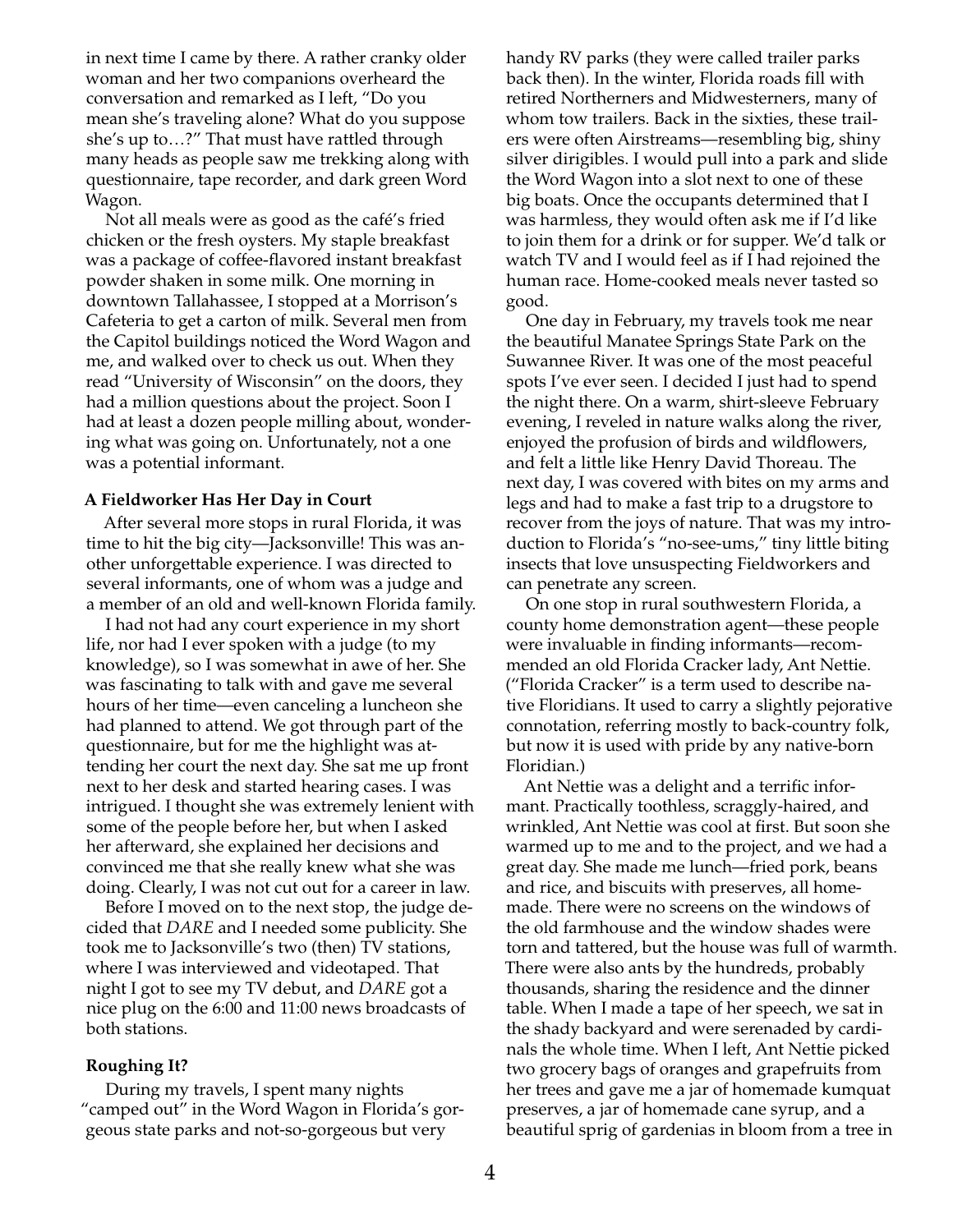in next time I came by there. A rather cranky older woman and her two companions overheard the conversation and remarked as I left, "Do you mean she's traveling alone? What do you suppose she's up to…?" That must have rattled through many heads as people saw me trekking along with questionnaire, tape recorder, and dark green Word Wagon.

Not all meals were as good as the café's fried chicken or the fresh oysters. My staple breakfast was a package of coffee-flavored instant breakfast powder shaken in some milk. One morning in downtown Tallahassee, I stopped at a Morrison's Cafeteria to get a carton of milk. Several men from the Capitol buildings noticed the Word Wagon and me, and walked over to check us out. When they read "University of Wisconsin" on the doors, they had a million questions about the project. Soon I had at least a dozen people milling about, wondering what was going on. Unfortunately, not a one was a potential informant.

#### **A Fieldworker Has Her Day in Court**

After several more stops in rural Florida, it was time to hit the big city—Jacksonville! This was another unforgettable experience. I was directed to several informants, one of whom was a judge and a member of an old and well-known Florida family.

I had not had any court experience in my short life, nor had I ever spoken with a judge (to my knowledge), so I was somewhat in awe of her. She was fascinating to talk with and gave me several hours of her time—even canceling a luncheon she had planned to attend. We got through part of the questionnaire, but for me the highlight was attending her court the next day. She sat me up front next to her desk and started hearing cases. I was intrigued. I thought she was extremely lenient with some of the people before her, but when I asked her afterward, she explained her decisions and convinced me that she really knew what she was doing. Clearly, I was not cut out for a career in law.

Before I moved on to the next stop, the judge decided that *DARE* and I needed some publicity. She took me to Jacksonville's two (then) TV stations, where I was interviewed and videotaped. That night I got to see my TV debut, and *DARE* got a nice plug on the 6:00 and 11:00 news broadcasts of both stations.

## **Roughing It?**

During my travels, I spent many nights "camped out" in the Word Wagon in Florida's gorgeous state parks and not-so-gorgeous but very

handy RV parks (they were called trailer parks back then). In the winter, Florida roads fill with retired Northerners and Midwesterners, many of whom tow trailers. Back in the sixties, these trailers were often Airstreams—resembling big, shiny silver dirigibles. I would pull into a park and slide the Word Wagon into a slot next to one of these big boats. Once the occupants determined that I was harmless, they would often ask me if I'd like to join them for a drink or for supper. We'd talk or watch TV and I would feel as if I had rejoined the human race. Home-cooked meals never tasted so good.

One day in February, my travels took me near the beautiful Manatee Springs State Park on the Suwannee River. It was one of the most peaceful spots I've ever seen. I decided I just had to spend the night there. On a warm, shirt-sleeve February evening, I reveled in nature walks along the river, enjoyed the profusion of birds and wildflowers, and felt a little like Henry David Thoreau. The next day, I was covered with bites on my arms and legs and had to make a fast trip to a drugstore to recover from the joys of nature. That was my introduction to Florida's "no-see-ums," tiny little biting insects that love unsuspecting Fieldworkers and can penetrate any screen.

On one stop in rural southwestern Florida, a county home demonstration agent—these people were invaluable in finding informants—recommended an old Florida Cracker lady, Ant Nettie. ("Florida Cracker" is a term used to describe native Floridians. It used to carry a slightly pejorative connotation, referring mostly to back-country folk, but now it is used with pride by any native-born Floridian.)

Ant Nettie was a delight and a terrific informant. Practically toothless, scraggly-haired, and wrinkled, Ant Nettie was cool at first. But soon she warmed up to me and to the project, and we had a great day. She made me lunch—fried pork, beans and rice, and biscuits with preserves, all homemade. There were no screens on the windows of the old farmhouse and the window shades were torn and tattered, but the house was full of warmth. There were also ants by the hundreds, probably thousands, sharing the residence and the dinner table. When I made a tape of her speech, we sat in the shady backyard and were serenaded by cardinals the whole time. When I left, Ant Nettie picked two grocery bags of oranges and grapefruits from her trees and gave me a jar of homemade kumquat preserves, a jar of homemade cane syrup, and a beautiful sprig of gardenias in bloom from a tree in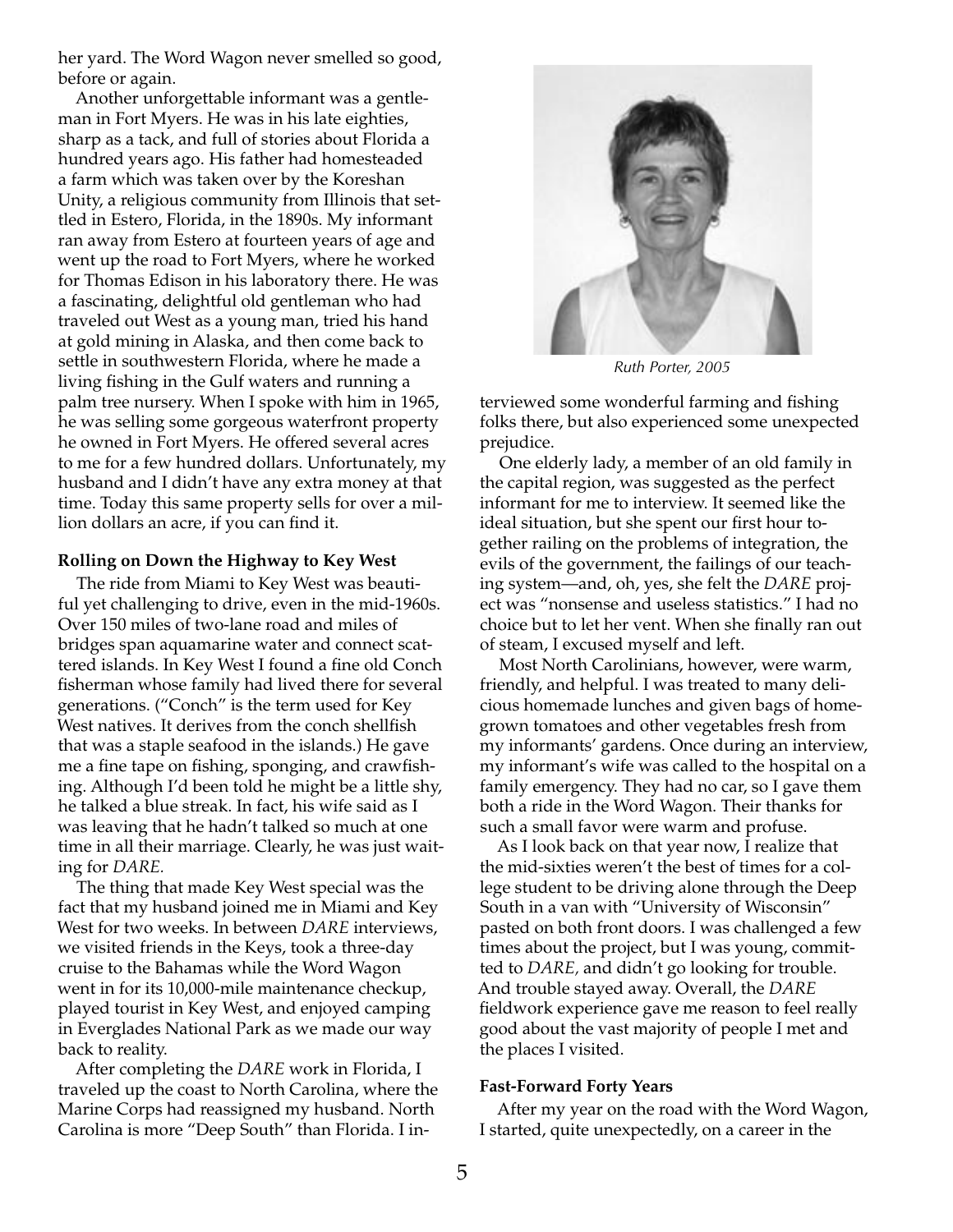her yard. The Word Wagon never smelled so good, before or again.

Another unforgettable informant was a gentleman in Fort Myers. He was in his late eighties, sharp as a tack, and full of stories about Florida a hundred years ago. His father had homesteaded a farm which was taken over by the Koreshan Unity, a religious community from Illinois that settled in Estero, Florida, in the 1890s. My informant ran away from Estero at fourteen years of age and went up the road to Fort Myers, where he worked for Thomas Edison in his laboratory there. He was a fascinating, delightful old gentleman who had traveled out West as a young man, tried his hand at gold mining in Alaska, and then come back to settle in southwestern Florida, where he made a living fishing in the Gulf waters and running a palm tree nursery. When I spoke with him in 1965, he was selling some gorgeous waterfront property he owned in Fort Myers. He offered several acres to me for a few hundred dollars. Unfortunately, my husband and I didn't have any extra money at that time. Today this same property sells for over a million dollars an acre, if you can find it.

#### **Rolling on Down the Highway to Key West**

The ride from Miami to Key West was beautiful yet challenging to drive, even in the mid-1960s. Over 150 miles of two-lane road and miles of bridges span aquamarine water and connect scattered islands. In Key West I found a fine old Conch fisherman whose family had lived there for several generations. ("Conch" is the term used for Key West natives. It derives from the conch shellfish that was a staple seafood in the islands.) He gave me a fine tape on fishing, sponging, and crawfishing. Although I'd been told he might be a little shy, he talked a blue streak. In fact, his wife said as I was leaving that he hadn't talked so much at one time in all their marriage. Clearly, he was just waiting for *DARE.*

The thing that made Key West special was the fact that my husband joined me in Miami and Key West for two weeks. In between *DARE* interviews, we visited friends in the Keys, took a three-day cruise to the Bahamas while the Word Wagon went in for its 10,000-mile maintenance checkup, played tourist in Key West, and enjoyed camping in Everglades National Park as we made our way back to reality.

After completing the *DARE* work in Florida, I traveled up the coast to North Carolina, where the Marine Corps had reassigned my husband. North Carolina is more "Deep South" than Florida. I in-



*Ruth Porter, 2005*

terviewed some wonderful farming and fishing folks there, but also experienced some unexpected prejudice.

One elderly lady, a member of an old family in the capital region, was suggested as the perfect informant for me to interview. It seemed like the ideal situation, but she spent our first hour together railing on the problems of integration, the evils of the government, the failings of our teaching system—and, oh, yes, she felt the *DARE* project was "nonsense and useless statistics." I had no choice but to let her vent. When she finally ran out of steam, I excused myself and left.

Most North Carolinians, however, were warm, friendly, and helpful. I was treated to many delicious homemade lunches and given bags of homegrown tomatoes and other vegetables fresh from my informants' gardens. Once during an interview, my informant's wife was called to the hospital on a family emergency. They had no car, so I gave them both a ride in the Word Wagon. Their thanks for such a small favor were warm and profuse.

As I look back on that year now, I realize that the mid-sixties weren't the best of times for a college student to be driving alone through the Deep South in a van with "University of Wisconsin" pasted on both front doors. I was challenged a few times about the project, but I was young, committed to *DARE,* and didn't go looking for trouble. And trouble stayed away. Overall, the *DARE* fieldwork experience gave me reason to feel really good about the vast majority of people I met and the places I visited.

#### **Fast-Forward Forty Years**

After my year on the road with the Word Wagon, I started, quite unexpectedly, on a career in the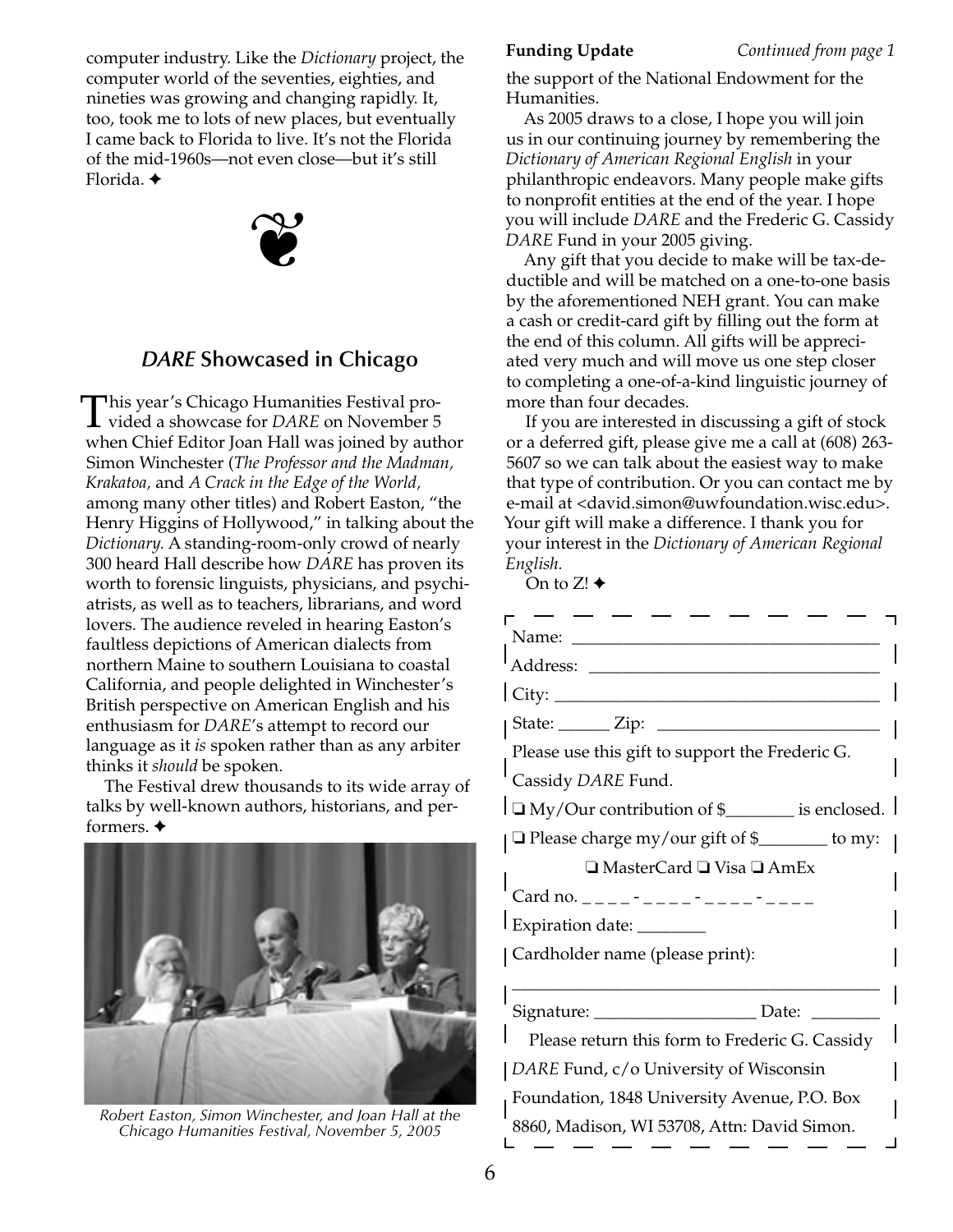computer industry. Like the *Dictionary* project, the computer world of the seventies, eighties, and nineties was growing and changing rapidly. It, too, took me to lots of new places, but eventually I came back to Florida to live. It's not the Florida of the mid-1960s—not even close—but it's still Florida. ✦



# *DARE* **Showcased in Chicago**

This year's Chicago Humanities Festival pro-<br>vided a showcase for *DARE* on November 5 when Chief Editor Joan Hall was joined by author Simon Winchester (*The Professor and the Madman, Krakatoa,* and *A Crack in the Edge of the World,* among many other titles) and Robert Easton, "the Henry Higgins of Hollywood," in talking about the *Dictionary.* A standing-room-only crowd of nearly 300 heard Hall describe how *DARE* has proven its worth to forensic linguists, physicians, and psychiatrists, as well as to teachers, librarians, and word lovers. The audience reveled in hearing Easton's faultless depictions of American dialects from northern Maine to southern Louisiana to coastal California, and people delighted in Winchester's British perspective on American English and his enthusiasm for *DARE*'s attempt to record our language as it *is* spoken rather than as any arbiter thinks it *should* be spoken.

The Festival drew thousands to its wide array of talks by well-known authors, historians, and performers. ✦



*Robert Easton, Simon Winchester, and Joan Hall at the Chicago Humanities Festival, November 5, 2005*

**Funding Update** *Continued from page 1*

the support of the National Endowment for the Humanities.

As 2005 draws to a close, I hope you will join us in our continuing journey by remembering the *Dictionary of American Regional English* in your philanthropic endeavors. Many people make gifts to nonprofit entities at the end of the year. I hope you will include *DARE* and the Frederic G. Cassidy *DARE* Fund in your 2005 giving.

Any gift that you decide to make will be tax-deductible and will be matched on a one-to-one basis by the aforementioned NEH grant. You can make a cash or credit-card gift by filling out the form at the end of this column. All gifts will be appreciated very much and will move us one step closer to completing a one-of-a-kind linguistic journey of more than four decades.

If you are interested in discussing a gift of stock or a deferred gift, please give me a call at (608) 263- 5607 so we can talk about the easiest way to make that type of contribution. Or you can contact me by e-mail at <david.simon@uwfoundation.wisc.edu>. Your gift will make a difference. I thank you for your interest in the *Dictionary of American Regional English.*

On to  $Z!$   $\triangleleft$ 

| $\text{City:}$                                        |
|-------------------------------------------------------|
| State: ______ Zip: __________                         |
| Please use this gift to support the Frederic G.       |
| Cassidy DARE Fund.                                    |
| $\Box$ My/Our contribution of \$________ is enclosed. |
| □ Please charge my/our gift of \$<br><u></u> to my:   |
| □ MasterCard □ Visa □ AmEx                            |
|                                                       |
| Expiration date: ________                             |
| Cardholder name (please print):                       |
|                                                       |
| Signature: ______________________ Date:               |
| Please return this form to Frederic G. Cassidy        |
| DARE Fund, c/o University of Wisconsin                |
| Foundation, 1848 University Avenue, P.O. Box          |
| 8860, Madison, WI 53708, Attn: David Simon.           |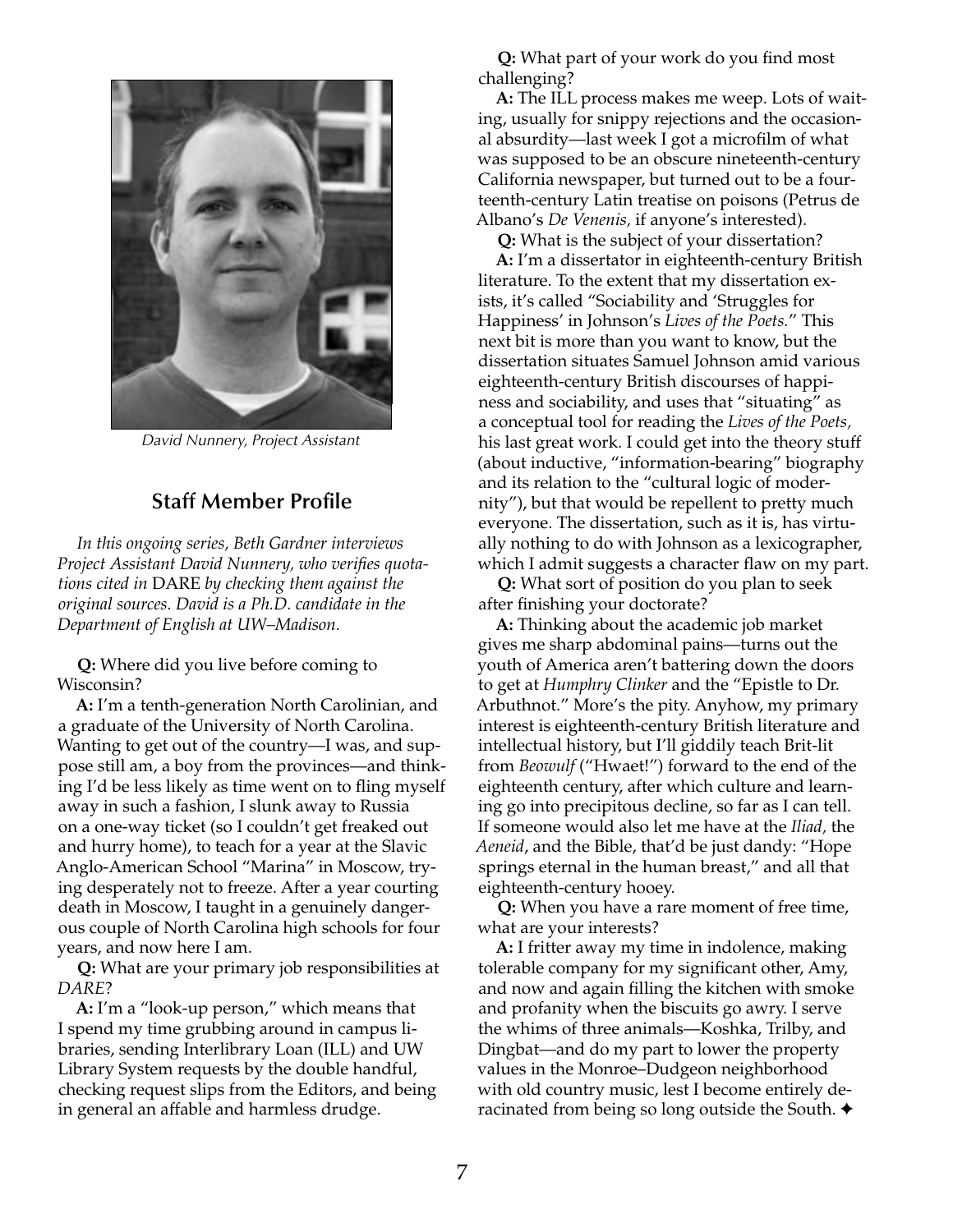

*David Nunnery, Project Assistant*

## **Staff Member Profile**

*In this ongoing series, Beth Gardner interviews Project Assistant David Nunnery, who verifies quotations cited in* DARE *by checking them against the original sources. David is a Ph.D. candidate in the Department of English at UW–Madison.*

**Q:** Where did you live before coming to Wisconsin?

**A:** I'm a tenth-generation North Carolinian, and a graduate of the University of North Carolina. Wanting to get out of the country—I was, and suppose still am, a boy from the provinces—and thinking I'd be less likely as time went on to fling myself away in such a fashion, I slunk away to Russia on a one-way ticket (so I couldn't get freaked out and hurry home), to teach for a year at the Slavic Anglo-American School "Marina" in Moscow, trying desperately not to freeze. After a year courting death in Moscow, I taught in a genuinely dangerous couple of North Carolina high schools for four years, and now here I am.

**Q:** What are your primary job responsibilities at *DARE*?

**A:** I'm a "look-up person," which means that I spend my time grubbing around in campus libraries, sending Interlibrary Loan (ILL) and UW Library System requests by the double handful, checking request slips from the Editors, and being in general an affable and harmless drudge.

**Q:** What part of your work do you find most challenging?

**A:** The ILL process makes me weep. Lots of waiting, usually for snippy rejections and the occasional absurdity—last week I got a microfilm of what was supposed to be an obscure nineteenth-century California newspaper, but turned out to be a fourteenth-century Latin treatise on poisons (Petrus de Albano's *De Venenis,* if anyone's interested).

**Q:** What is the subject of your dissertation?

**A:** I'm a dissertator in eighteenth-century British literature. To the extent that my dissertation exists, it's called "Sociability and 'Struggles for Happiness' in Johnson's *Lives of the Poets.*" This next bit is more than you want to know, but the dissertation situates Samuel Johnson amid various eighteenth-century British discourses of happiness and sociability, and uses that "situating" as a conceptual tool for reading the *Lives of the Poets,* his last great work. I could get into the theory stuff (about inductive, "information-bearing" biography and its relation to the "cultural logic of modernity"), but that would be repellent to pretty much everyone. The dissertation, such as it is, has virtually nothing to do with Johnson as a lexicographer, which I admit suggests a character flaw on my part.

**Q:** What sort of position do you plan to seek after finishing your doctorate?

**A:** Thinking about the academic job market gives me sharp abdominal pains—turns out the youth of America aren't battering down the doors to get at *Humphry Clinker* and the "Epistle to Dr. Arbuthnot." More's the pity. Anyhow, my primary interest is eighteenth-century British literature and intellectual history, but I'll giddily teach Brit-lit from *Beowulf* ("Hwaet!") forward to the end of the eighteenth century, after which culture and learning go into precipitous decline, so far as I can tell. If someone would also let me have at the *Iliad,* the *Aeneid*, and the Bible, that'd be just dandy: "Hope springs eternal in the human breast," and all that eighteenth-century hooey.

**Q:** When you have a rare moment of free time, what are your interests?

**A:** I fritter away my time in indolence, making tolerable company for my significant other, Amy, and now and again filling the kitchen with smoke and profanity when the biscuits go awry. I serve the whims of three animals—Koshka, Trilby, and Dingbat—and do my part to lower the property values in the Monroe–Dudgeon neighborhood with old country music, lest I become entirely deracinated from being so long outside the South. ✦